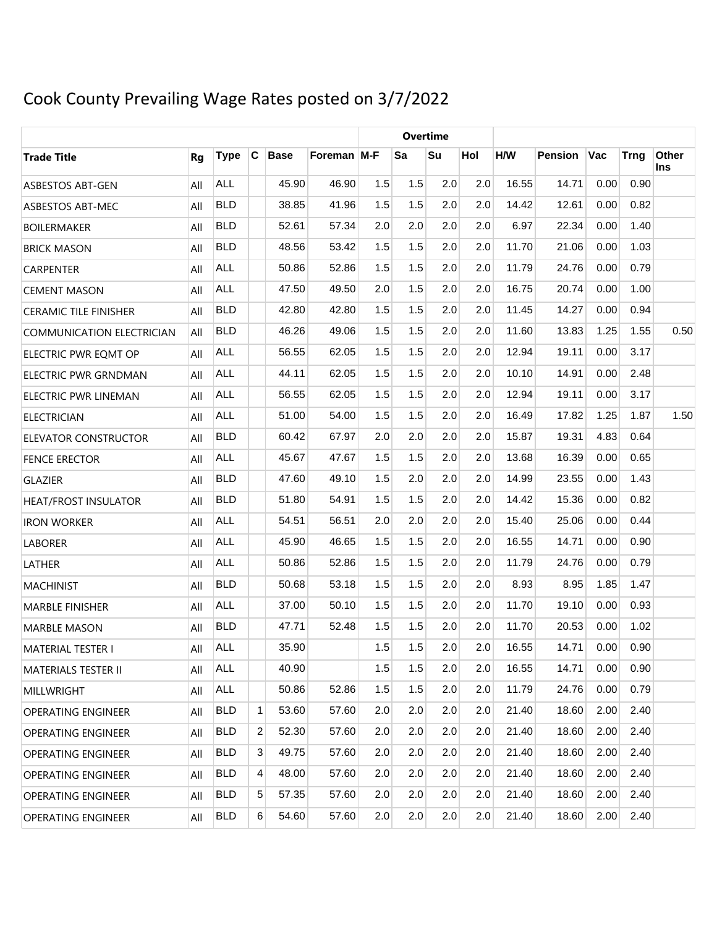# Cook County Prevailing Wage Rates posted on 3/7/2022

|                                  |     |             |   |             |             |     |     | <b>Overtime</b> |     |       |                |      |             |              |
|----------------------------------|-----|-------------|---|-------------|-------------|-----|-----|-----------------|-----|-------|----------------|------|-------------|--------------|
| <b>Trade Title</b>               | Rg  | <b>Type</b> | C | <b>Base</b> | Foreman M-F |     | Sa  | Su              | Hol | H/W   | <b>Pension</b> | Vac  | <b>Trng</b> | Other<br>Ins |
| ASBESTOS ABT-GEN                 | All | <b>ALL</b>  |   | 45.90       | 46.90       | 1.5 | 1.5 | 2.0             | 2.0 | 16.55 | 14.71          | 0.00 | 0.90        |              |
| ASBESTOS ABT-MEC                 | All | <b>BLD</b>  |   | 38.85       | 41.96       | 1.5 | 1.5 | 2.0             | 2.0 | 14.42 | 12.61          | 0.00 | 0.82        |              |
| <b>BOILERMAKER</b>               | All | <b>BLD</b>  |   | 52.61       | 57.34       | 2.0 | 2.0 | 2.0             | 2.0 | 6.97  | 22.34          | 0.00 | 1.40        |              |
| <b>BRICK MASON</b>               | All | <b>BLD</b>  |   | 48.56       | 53.42       | 1.5 | 1.5 | 2.0             | 2.0 | 11.70 | 21.06          | 0.00 | 1.03        |              |
| <b>CARPENTER</b>                 | All | <b>ALL</b>  |   | 50.86       | 52.86       | 1.5 | 1.5 | 2.0             | 2.0 | 11.79 | 24.76          | 0.00 | 0.79        |              |
| <b>CEMENT MASON</b>              | All | <b>ALL</b>  |   | 47.50       | 49.50       | 2.0 | 1.5 | 2.0             | 2.0 | 16.75 | 20.74          | 0.00 | 1.00        |              |
| <b>CERAMIC TILE FINISHER</b>     | All | <b>BLD</b>  |   | 42.80       | 42.80       | 1.5 | 1.5 | 2.0             | 2.0 | 11.45 | 14.27          | 0.00 | 0.94        |              |
| <b>COMMUNICATION ELECTRICIAN</b> | All | <b>BLD</b>  |   | 46.26       | 49.06       | 1.5 | 1.5 | 2.0             | 2.0 | 11.60 | 13.83          | 1.25 | 1.55        | 0.50         |
| ELECTRIC PWR EQMT OP             | All | <b>ALL</b>  |   | 56.55       | 62.05       | 1.5 | 1.5 | 2.0             | 2.0 | 12.94 | 19.11          | 0.00 | 3.17        |              |
| ELECTRIC PWR GRNDMAN             | All | <b>ALL</b>  |   | 44.11       | 62.05       | 1.5 | 1.5 | 2.0             | 2.0 | 10.10 | 14.91          | 0.00 | 2.48        |              |
| ELECTRIC PWR LINEMAN             | All | <b>ALL</b>  |   | 56.55       | 62.05       | 1.5 | 1.5 | 2.0             | 2.0 | 12.94 | 19.11          | 0.00 | 3.17        |              |
| <b>ELECTRICIAN</b>               | All | <b>ALL</b>  |   | 51.00       | 54.00       | 1.5 | 1.5 | 2.0             | 2.0 | 16.49 | 17.82          | 1.25 | 1.87        | 1.50         |
| ELEVATOR CONSTRUCTOR             | All | <b>BLD</b>  |   | 60.42       | 67.97       | 2.0 | 2.0 | 2.0             | 2.0 | 15.87 | 19.31          | 4.83 | 0.64        |              |
| <b>FENCE ERECTOR</b>             | All | <b>ALL</b>  |   | 45.67       | 47.67       | 1.5 | 1.5 | 2.0             | 2.0 | 13.68 | 16.39          | 0.00 | 0.65        |              |
| <b>GLAZIER</b>                   | All | <b>BLD</b>  |   | 47.60       | 49.10       | 1.5 | 2.0 | 2.0             | 2.0 | 14.99 | 23.55          | 0.00 | 1.43        |              |
| <b>HEAT/FROST INSULATOR</b>      | All | <b>BLD</b>  |   | 51.80       | 54.91       | 1.5 | 1.5 | 2.0             | 2.0 | 14.42 | 15.36          | 0.00 | 0.82        |              |
| <b>IRON WORKER</b>               | All | <b>ALL</b>  |   | 54.51       | 56.51       | 2.0 | 2.0 | 2.0             | 2.0 | 15.40 | 25.06          | 0.00 | 0.44        |              |
| <b>LABORER</b>                   | All | <b>ALL</b>  |   | 45.90       | 46.65       | 1.5 | 1.5 | 2.0             | 2.0 | 16.55 | 14.71          | 0.00 | 0.90        |              |
| LATHER                           | All | <b>ALL</b>  |   | 50.86       | 52.86       | 1.5 | 1.5 | 2.0             | 2.0 | 11.79 | 24.76          | 0.00 | 0.79        |              |
| <b>MACHINIST</b>                 | All | <b>BLD</b>  |   | 50.68       | 53.18       | 1.5 | 1.5 | 2.0             | 2.0 | 8.93  | 8.95           | 1.85 | 1.47        |              |
| <b>MARBLE FINISHER</b>           | All | <b>ALL</b>  |   | 37.00       | 50.10       | 1.5 | 1.5 | 2.0             | 2.0 | 11.70 | 19.10          | 0.00 | 0.93        |              |
| <b>MARBLE MASON</b>              | All | <b>BLD</b>  |   | 47.71       | 52.48       | 1.5 | 1.5 | 2.0             | 2.0 | 11.70 | 20.53          | 0.00 | 1.02        |              |
| MATERIAL TESTER I                | All | ALL         |   | 35.90       |             | 1.5 | 1.5 | 2.0             | 2.0 | 16.55 | 14.71          | 0.00 | 0.90        |              |
| <b>MATERIALS TESTER II</b>       | All | ALL         |   | 40.90       |             | 1.5 | 1.5 | 2.0             | 2.0 | 16.55 | 14.71          | 0.00 | 0.90        |              |
| MILLWRIGHT                       | All | ALL         |   | 50.86       | 52.86       | 1.5 | 1.5 | 2.0             | 2.0 | 11.79 | 24.76          | 0.00 | 0.79        |              |
| <b>OPERATING ENGINEER</b>        | All | <b>BLD</b>  | 1 | 53.60       | 57.60       | 2.0 | 2.0 | 2.0             | 2.0 | 21.40 | 18.60          | 2.00 | 2.40        |              |
| <b>OPERATING ENGINEER</b>        | All | <b>BLD</b>  | 2 | 52.30       | 57.60       | 2.0 | 2.0 | 2.0             | 2.0 | 21.40 | 18.60          | 2.00 | 2.40        |              |
| <b>OPERATING ENGINEER</b>        | All | <b>BLD</b>  | 3 | 49.75       | 57.60       | 2.0 | 2.0 | 2.0             | 2.0 | 21.40 | 18.60          | 2.00 | 2.40        |              |
| <b>OPERATING ENGINEER</b>        | All | <b>BLD</b>  | 4 | 48.00       | 57.60       | 2.0 | 2.0 | 2.0             | 2.0 | 21.40 | 18.60          | 2.00 | 2.40        |              |
| <b>OPERATING ENGINEER</b>        | All | <b>BLD</b>  | 5 | 57.35       | 57.60       | 2.0 | 2.0 | 2.0             | 2.0 | 21.40 | 18.60          | 2.00 | 2.40        |              |
| <b>OPERATING ENGINEER</b>        | All | <b>BLD</b>  | 6 | 54.60       | 57.60       | 2.0 | 2.0 | 2.0             | 2.0 | 21.40 | 18.60          | 2.00 | 2.40        |              |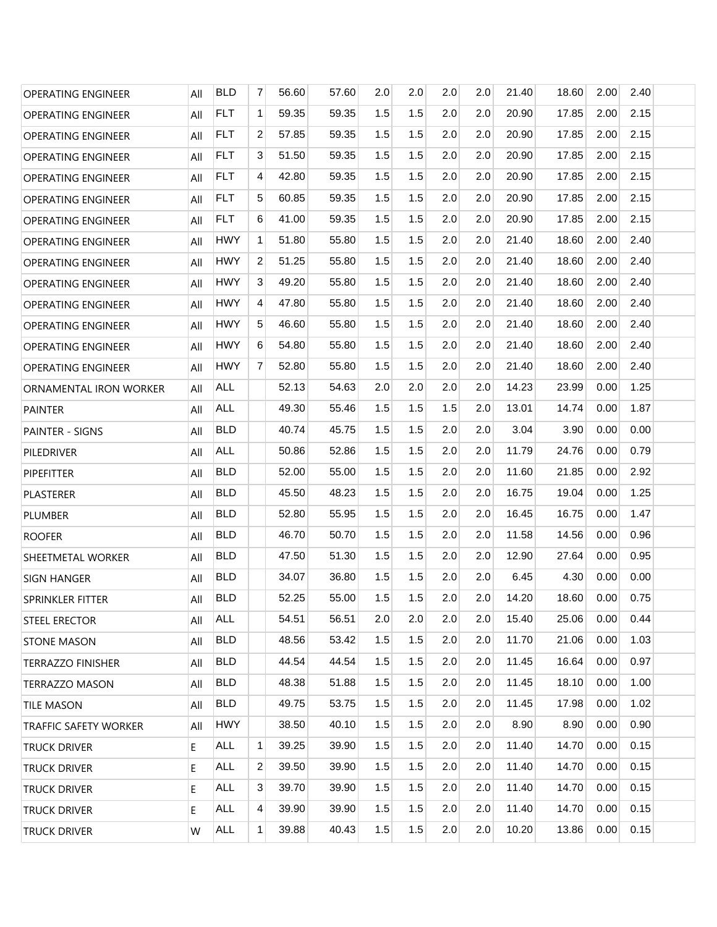| <b>OPERATING ENGINEER</b>    | All | <b>BLD</b> | 7              | 56.60 | 57.60 | 2.0 | 2.0 | 2.0 | 2.0 | 21.40 | 18.60 | 2.00 | 2.40 |
|------------------------------|-----|------------|----------------|-------|-------|-----|-----|-----|-----|-------|-------|------|------|
| OPERATING ENGINEER           | All | <b>FLT</b> | $\mathbf{1}$   | 59.35 | 59.35 | 1.5 | 1.5 | 2.0 | 2.0 | 20.90 | 17.85 | 2.00 | 2.15 |
| <b>OPERATING ENGINEER</b>    | All | <b>FLT</b> | $\overline{2}$ | 57.85 | 59.35 | 1.5 | 1.5 | 2.0 | 2.0 | 20.90 | 17.85 | 2.00 | 2.15 |
| OPERATING ENGINEER           | All | <b>FLT</b> | 3              | 51.50 | 59.35 | 1.5 | 1.5 | 2.0 | 2.0 | 20.90 | 17.85 | 2.00 | 2.15 |
| <b>OPERATING ENGINEER</b>    | All | <b>FLT</b> | 4              | 42.80 | 59.35 | 1.5 | 1.5 | 2.0 | 2.0 | 20.90 | 17.85 | 2.00 | 2.15 |
| <b>OPERATING ENGINEER</b>    | All | <b>FLT</b> | 5              | 60.85 | 59.35 | 1.5 | 1.5 | 2.0 | 2.0 | 20.90 | 17.85 | 2.00 | 2.15 |
| <b>OPERATING ENGINEER</b>    | All | <b>FLT</b> | 6              | 41.00 | 59.35 | 1.5 | 1.5 | 2.0 | 2.0 | 20.90 | 17.85 | 2.00 | 2.15 |
| <b>OPERATING ENGINEER</b>    | All | <b>HWY</b> | $\mathbf{1}$   | 51.80 | 55.80 | 1.5 | 1.5 | 2.0 | 2.0 | 21.40 | 18.60 | 2.00 | 2.40 |
| <b>OPERATING ENGINEER</b>    | All | <b>HWY</b> | 2              | 51.25 | 55.80 | 1.5 | 1.5 | 2.0 | 2.0 | 21.40 | 18.60 | 2.00 | 2.40 |
| <b>OPERATING ENGINEER</b>    | All | <b>HWY</b> | 3              | 49.20 | 55.80 | 1.5 | 1.5 | 2.0 | 2.0 | 21.40 | 18.60 | 2.00 | 2.40 |
| <b>OPERATING ENGINEER</b>    | All | <b>HWY</b> | $\overline{4}$ | 47.80 | 55.80 | 1.5 | 1.5 | 2.0 | 2.0 | 21.40 | 18.60 | 2.00 | 2.40 |
| <b>OPERATING ENGINEER</b>    | All | <b>HWY</b> | 5              | 46.60 | 55.80 | 1.5 | 1.5 | 2.0 | 2.0 | 21.40 | 18.60 | 2.00 | 2.40 |
| <b>OPERATING ENGINEER</b>    | All | <b>HWY</b> | 6              | 54.80 | 55.80 | 1.5 | 1.5 | 2.0 | 2.0 | 21.40 | 18.60 | 2.00 | 2.40 |
| <b>OPERATING ENGINEER</b>    | All | <b>HWY</b> | $\overline{7}$ | 52.80 | 55.80 | 1.5 | 1.5 | 2.0 | 2.0 | 21.40 | 18.60 | 2.00 | 2.40 |
| ORNAMENTAL IRON WORKER       | All | <b>ALL</b> |                | 52.13 | 54.63 | 2.0 | 2.0 | 2.0 | 2.0 | 14.23 | 23.99 | 0.00 | 1.25 |
| <b>PAINTER</b>               | All | <b>ALL</b> |                | 49.30 | 55.46 | 1.5 | 1.5 | 1.5 | 2.0 | 13.01 | 14.74 | 0.00 | 1.87 |
| <b>PAINTER - SIGNS</b>       | All | <b>BLD</b> |                | 40.74 | 45.75 | 1.5 | 1.5 | 2.0 | 2.0 | 3.04  | 3.90  | 0.00 | 0.00 |
| PILEDRIVER                   | All | <b>ALL</b> |                | 50.86 | 52.86 | 1.5 | 1.5 | 2.0 | 2.0 | 11.79 | 24.76 | 0.00 | 0.79 |
| <b>PIPEFITTER</b>            | All | <b>BLD</b> |                | 52.00 | 55.00 | 1.5 | 1.5 | 2.0 | 2.0 | 11.60 | 21.85 | 0.00 | 2.92 |
| PLASTERER                    | All | <b>BLD</b> |                | 45.50 | 48.23 | 1.5 | 1.5 | 2.0 | 2.0 | 16.75 | 19.04 | 0.00 | 1.25 |
| <b>PLUMBER</b>               | All | <b>BLD</b> |                | 52.80 | 55.95 | 1.5 | 1.5 | 2.0 | 2.0 | 16.45 | 16.75 | 0.00 | 1.47 |
| <b>ROOFER</b>                | All | <b>BLD</b> |                | 46.70 | 50.70 | 1.5 | 1.5 | 2.0 | 2.0 | 11.58 | 14.56 | 0.00 | 0.96 |
| SHEETMETAL WORKER            | All | <b>BLD</b> |                | 47.50 | 51.30 | 1.5 | 1.5 | 2.0 | 2.0 | 12.90 | 27.64 | 0.00 | 0.95 |
| <b>SIGN HANGER</b>           | All | <b>BLD</b> |                | 34.07 | 36.80 | 1.5 | 1.5 | 2.0 | 2.0 | 6.45  | 4.30  | 0.00 | 0.00 |
| <b>SPRINKLER FITTER</b>      | All | <b>BLD</b> |                | 52.25 | 55.00 | 1.5 | 1.5 | 2.0 | 2.0 | 14.20 | 18.60 | 0.00 | 0.75 |
| STEEL ERECTOR                | All | ALL        |                | 54.51 | 56.51 | 2.0 | 2.0 | 2.0 | 2.0 | 15.40 | 25.06 | 0.00 | 0.44 |
| <b>STONE MASON</b>           | All | <b>BLD</b> |                | 48.56 | 53.42 | 1.5 | 1.5 | 2.0 | 2.0 | 11.70 | 21.06 | 0.00 | 1.03 |
| <b>TERRAZZO FINISHER</b>     | All | <b>BLD</b> |                | 44.54 | 44.54 | 1.5 | 1.5 | 2.0 | 2.0 | 11.45 | 16.64 | 0.00 | 0.97 |
| <b>TERRAZZO MASON</b>        | All | <b>BLD</b> |                | 48.38 | 51.88 | 1.5 | 1.5 | 2.0 | 2.0 | 11.45 | 18.10 | 0.00 | 1.00 |
| <b>TILE MASON</b>            | All | <b>BLD</b> |                | 49.75 | 53.75 | 1.5 | 1.5 | 2.0 | 2.0 | 11.45 | 17.98 | 0.00 | 1.02 |
| <b>TRAFFIC SAFETY WORKER</b> | All | <b>HWY</b> |                | 38.50 | 40.10 | 1.5 | 1.5 | 2.0 | 2.0 | 8.90  | 8.90  | 0.00 | 0.90 |
| TRUCK DRIVER                 | E.  | ALL        | $\mathbf{1}$   | 39.25 | 39.90 | 1.5 | 1.5 | 2.0 | 2.0 | 11.40 | 14.70 | 0.00 | 0.15 |
| TRUCK DRIVER                 | E.  | <b>ALL</b> | 2              | 39.50 | 39.90 | 1.5 | 1.5 | 2.0 | 2.0 | 11.40 | 14.70 | 0.00 | 0.15 |
| TRUCK DRIVER                 | E.  | <b>ALL</b> | 3              | 39.70 | 39.90 | 1.5 | 1.5 | 2.0 | 2.0 | 11.40 | 14.70 | 0.00 | 0.15 |
| TRUCK DRIVER                 | E.  | <b>ALL</b> | 4              | 39.90 | 39.90 | 1.5 | 1.5 | 2.0 | 2.0 | 11.40 | 14.70 | 0.00 | 0.15 |
| TRUCK DRIVER                 | W   | ALL        | $\mathbf{1}$   | 39.88 | 40.43 | 1.5 | 1.5 | 2.0 | 2.0 | 10.20 | 13.86 | 0.00 | 0.15 |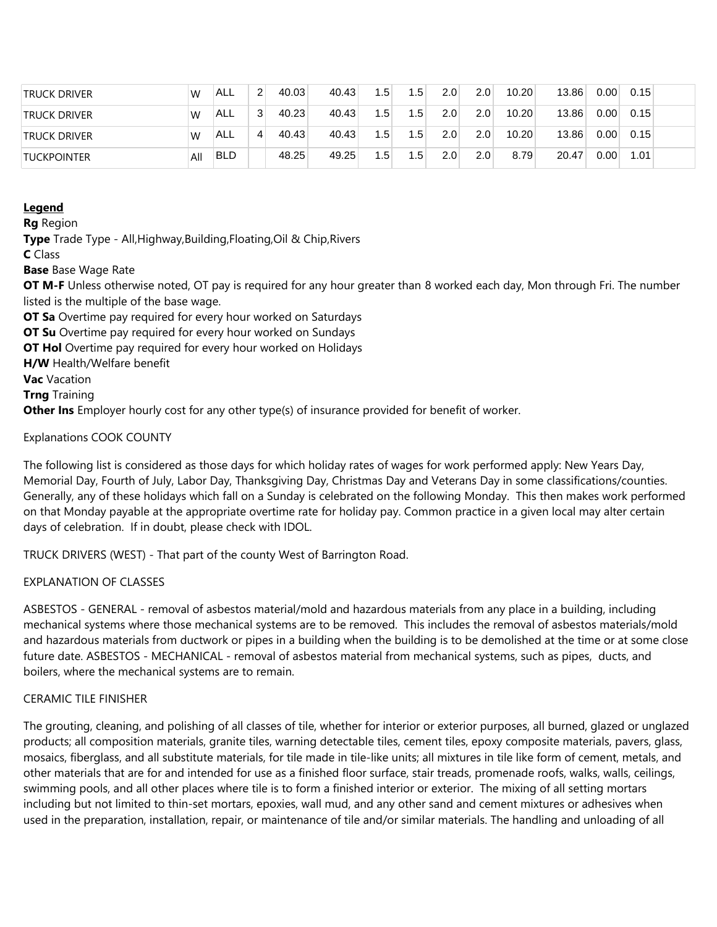| <b>TRUCK DRIVER</b> | W   | ™ALL       | $\overline{2}$ | 40.03 | 40.43 | 1.5              | 1.5              | 2.0 | 2.0              | 10.20 | 13.86 | 0.00 | 0.15 |  |
|---------------------|-----|------------|----------------|-------|-------|------------------|------------------|-----|------------------|-------|-------|------|------|--|
| <b>TRUCK DRIVER</b> | W   | ALL !      | $\mathbf{3}$   | 40.23 | 40.43 | 1.5 <sub>1</sub> | 1.5              | 2.0 | 2.0 <sub>1</sub> | 10.20 | 13.86 | 0.00 | 0.15 |  |
| <b>TRUCK DRIVER</b> | W   | <b>ALL</b> | 4              | 40.43 | 40.43 | 1.5              | 1.5              | 2.0 | 2.0              | 10.20 | 13.86 | 0.00 | 0.15 |  |
| <b>TUCKPOINTER</b>  | All | <b>BLD</b> |                | 48.25 | 49.25 | 1.5              | 1.5 <sub>1</sub> | 2.0 | 2.0 <sub>1</sub> | 8.79  | 20.47 | 0.00 | 1.01 |  |

## **Legend**

**Rg** Region

**Type** Trade Type - All,Highway,Building,Floating,Oil & Chip,Rivers

**C** Class

**Base** Base Wage Rate

**OT M-F** Unless otherwise noted, OT pay is required for any hour greater than 8 worked each day, Mon through Fri. The number listed is the multiple of the base wage.

**OT Sa** Overtime pay required for every hour worked on Saturdays

**OT Su** Overtime pay required for every hour worked on Sundays

**OT Hol** Overtime pay required for every hour worked on Holidays

**H/W** Health/Welfare benefit

**Vac** Vacation

**Trng** Training

**Other Ins** Employer hourly cost for any other type(s) of insurance provided for benefit of worker.

Explanations COOK COUNTY

The following list is considered as those days for which holiday rates of wages for work performed apply: New Years Day, Memorial Day, Fourth of July, Labor Day, Thanksgiving Day, Christmas Day and Veterans Day in some classifications/counties. Generally, any of these holidays which fall on a Sunday is celebrated on the following Monday. This then makes work performed on that Monday payable at the appropriate overtime rate for holiday pay. Common practice in a given local may alter certain days of celebration. If in doubt, please check with IDOL.

TRUCK DRIVERS (WEST) - That part of the county West of Barrington Road.

## EXPLANATION OF CLASSES

ASBESTOS - GENERAL - removal of asbestos material/mold and hazardous materials from any place in a building, including mechanical systems where those mechanical systems are to be removed. This includes the removal of asbestos materials/mold and hazardous materials from ductwork or pipes in a building when the building is to be demolished at the time or at some close future date. ASBESTOS - MECHANICAL - removal of asbestos material from mechanical systems, such as pipes, ducts, and boilers, where the mechanical systems are to remain.

## CERAMIC TILE FINISHER

The grouting, cleaning, and polishing of all classes of tile, whether for interior or exterior purposes, all burned, glazed or unglazed products; all composition materials, granite tiles, warning detectable tiles, cement tiles, epoxy composite materials, pavers, glass, mosaics, fiberglass, and all substitute materials, for tile made in tile-like units; all mixtures in tile like form of cement, metals, and other materials that are for and intended for use as a finished floor surface, stair treads, promenade roofs, walks, walls, ceilings, swimming pools, and all other places where tile is to form a finished interior or exterior. The mixing of all setting mortars including but not limited to thin-set mortars, epoxies, wall mud, and any other sand and cement mixtures or adhesives when used in the preparation, installation, repair, or maintenance of tile and/or similar materials. The handling and unloading of all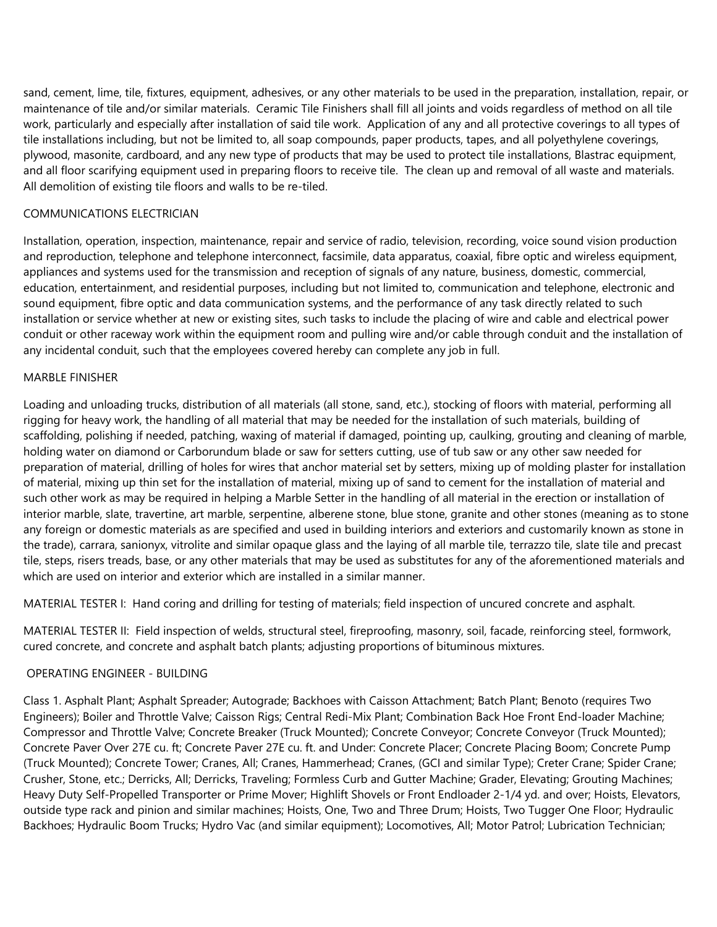sand, cement, lime, tile, fixtures, equipment, adhesives, or any other materials to be used in the preparation, installation, repair, or maintenance of tile and/or similar materials. Ceramic Tile Finishers shall fill all joints and voids regardless of method on all tile work, particularly and especially after installation of said tile work. Application of any and all protective coverings to all types of tile installations including, but not be limited to, all soap compounds, paper products, tapes, and all polyethylene coverings, plywood, masonite, cardboard, and any new type of products that may be used to protect tile installations, Blastrac equipment, and all floor scarifying equipment used in preparing floors to receive tile. The clean up and removal of all waste and materials. All demolition of existing tile floors and walls to be re-tiled.

## COMMUNICATIONS ELECTRICIAN

Installation, operation, inspection, maintenance, repair and service of radio, television, recording, voice sound vision production and reproduction, telephone and telephone interconnect, facsimile, data apparatus, coaxial, fibre optic and wireless equipment, appliances and systems used for the transmission and reception of signals of any nature, business, domestic, commercial, education, entertainment, and residential purposes, including but not limited to, communication and telephone, electronic and sound equipment, fibre optic and data communication systems, and the performance of any task directly related to such installation or service whether at new or existing sites, such tasks to include the placing of wire and cable and electrical power conduit or other raceway work within the equipment room and pulling wire and/or cable through conduit and the installation of any incidental conduit, such that the employees covered hereby can complete any job in full.

## MARBLE FINISHER

Loading and unloading trucks, distribution of all materials (all stone, sand, etc.), stocking of floors with material, performing all rigging for heavy work, the handling of all material that may be needed for the installation of such materials, building of scaffolding, polishing if needed, patching, waxing of material if damaged, pointing up, caulking, grouting and cleaning of marble, holding water on diamond or Carborundum blade or saw for setters cutting, use of tub saw or any other saw needed for preparation of material, drilling of holes for wires that anchor material set by setters, mixing up of molding plaster for installation of material, mixing up thin set for the installation of material, mixing up of sand to cement for the installation of material and such other work as may be required in helping a Marble Setter in the handling of all material in the erection or installation of interior marble, slate, travertine, art marble, serpentine, alberene stone, blue stone, granite and other stones (meaning as to stone any foreign or domestic materials as are specified and used in building interiors and exteriors and customarily known as stone in the trade), carrara, sanionyx, vitrolite and similar opaque glass and the laying of all marble tile, terrazzo tile, slate tile and precast tile, steps, risers treads, base, or any other materials that may be used as substitutes for any of the aforementioned materials and which are used on interior and exterior which are installed in a similar manner.

MATERIAL TESTER I: Hand coring and drilling for testing of materials; field inspection of uncured concrete and asphalt.

MATERIAL TESTER II: Field inspection of welds, structural steel, fireproofing, masonry, soil, facade, reinforcing steel, formwork, cured concrete, and concrete and asphalt batch plants; adjusting proportions of bituminous mixtures.

## OPERATING ENGINEER - BUILDING

Class 1. Asphalt Plant; Asphalt Spreader; Autograde; Backhoes with Caisson Attachment; Batch Plant; Benoto (requires Two Engineers); Boiler and Throttle Valve; Caisson Rigs; Central Redi-Mix Plant; Combination Back Hoe Front End-loader Machine; Compressor and Throttle Valve; Concrete Breaker (Truck Mounted); Concrete Conveyor; Concrete Conveyor (Truck Mounted); Concrete Paver Over 27E cu. ft; Concrete Paver 27E cu. ft. and Under: Concrete Placer; Concrete Placing Boom; Concrete Pump (Truck Mounted); Concrete Tower; Cranes, All; Cranes, Hammerhead; Cranes, (GCI and similar Type); Creter Crane; Spider Crane; Crusher, Stone, etc.; Derricks, All; Derricks, Traveling; Formless Curb and Gutter Machine; Grader, Elevating; Grouting Machines; Heavy Duty Self-Propelled Transporter or Prime Mover; Highlift Shovels or Front Endloader 2-1/4 yd. and over; Hoists, Elevators, outside type rack and pinion and similar machines; Hoists, One, Two and Three Drum; Hoists, Two Tugger One Floor; Hydraulic Backhoes; Hydraulic Boom Trucks; Hydro Vac (and similar equipment); Locomotives, All; Motor Patrol; Lubrication Technician;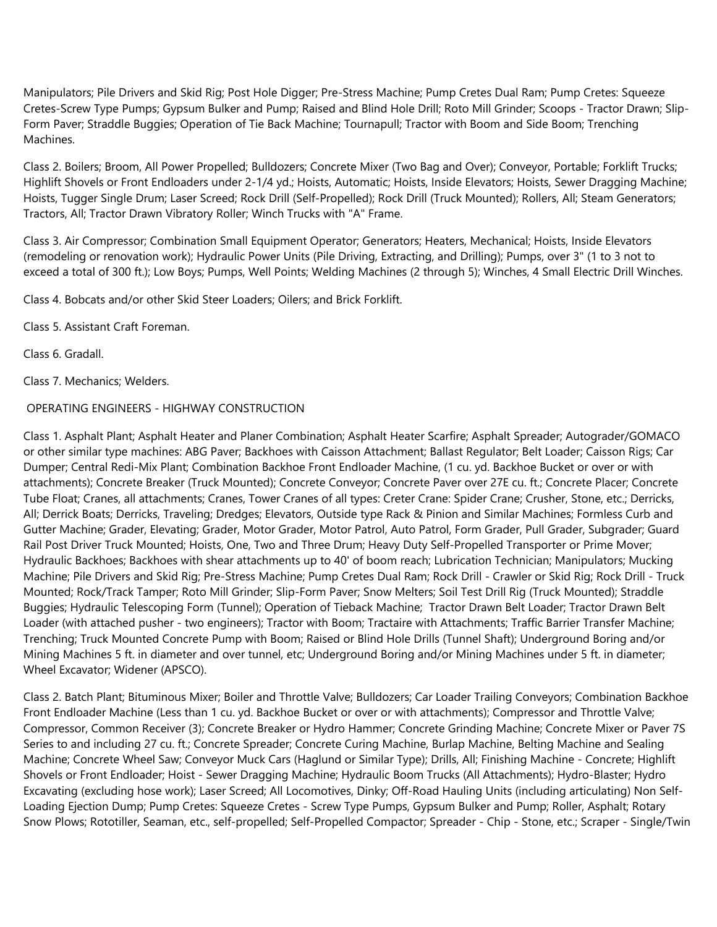Manipulators; Pile Drivers and Skid Rig; Post Hole Digger; Pre-Stress Machine; Pump Cretes Dual Ram; Pump Cretes: Squeeze Cretes-Screw Type Pumps; Gypsum Bulker and Pump; Raised and Blind Hole Drill; Roto Mill Grinder; Scoops - Tractor Drawn; Slip-Form Paver; Straddle Buggies; Operation of Tie Back Machine; Tournapull; Tractor with Boom and Side Boom; Trenching Machines.

Class 2. Boilers; Broom, All Power Propelled; Bulldozers; Concrete Mixer (Two Bag and Over); Conveyor, Portable; Forklift Trucks; Highlift Shovels or Front Endloaders under 2-1/4 yd.; Hoists, Automatic; Hoists, Inside Elevators; Hoists, Sewer Dragging Machine; Hoists, Tugger Single Drum; Laser Screed; Rock Drill (Self-Propelled); Rock Drill (Truck Mounted); Rollers, All; Steam Generators; Tractors, All; Tractor Drawn Vibratory Roller; Winch Trucks with "A" Frame.

Class 3. Air Compressor; Combination Small Equipment Operator; Generators; Heaters, Mechanical; Hoists, Inside Elevators (remodeling or renovation work); Hydraulic Power Units (Pile Driving, Extracting, and Drilling); Pumps, over 3" (1 to 3 not to exceed a total of 300 ft.); Low Boys; Pumps, Well Points; Welding Machines (2 through 5); Winches, 4 Small Electric Drill Winches.

Class 4. Bobcats and/or other Skid Steer Loaders; Oilers; and Brick Forklift.

Class 5. Assistant Craft Foreman.

Class 6. Gradall.

Class 7. Mechanics; Welders.

# OPERATING ENGINEERS - HIGHWAY CONSTRUCTION

Class 1. Asphalt Plant; Asphalt Heater and Planer Combination; Asphalt Heater Scarfire; Asphalt Spreader; Autograder/GOMACO or other similar type machines: ABG Paver; Backhoes with Caisson Attachment; Ballast Regulator; Belt Loader; Caisson Rigs; Car Dumper; Central Redi-Mix Plant; Combination Backhoe Front Endloader Machine, (1 cu. yd. Backhoe Bucket or over or with attachments); Concrete Breaker (Truck Mounted); Concrete Conveyor; Concrete Paver over 27E cu. ft.; Concrete Placer; Concrete Tube Float; Cranes, all attachments; Cranes, Tower Cranes of all types: Creter Crane: Spider Crane; Crusher, Stone, etc.; Derricks, All; Derrick Boats; Derricks, Traveling; Dredges; Elevators, Outside type Rack & Pinion and Similar Machines; Formless Curb and Gutter Machine; Grader, Elevating; Grader, Motor Grader, Motor Patrol, Auto Patrol, Form Grader, Pull Grader, Subgrader; Guard Rail Post Driver Truck Mounted; Hoists, One, Two and Three Drum; Heavy Duty Self-Propelled Transporter or Prime Mover; Hydraulic Backhoes; Backhoes with shear attachments up to 40' of boom reach; Lubrication Technician; Manipulators; Mucking Machine; Pile Drivers and Skid Rig; Pre-Stress Machine; Pump Cretes Dual Ram; Rock Drill - Crawler or Skid Rig; Rock Drill - Truck Mounted; Rock/Track Tamper; Roto Mill Grinder; Slip-Form Paver; Snow Melters; Soil Test Drill Rig (Truck Mounted); Straddle Buggies; Hydraulic Telescoping Form (Tunnel); Operation of Tieback Machine; Tractor Drawn Belt Loader; Tractor Drawn Belt Loader (with attached pusher - two engineers); Tractor with Boom; Tractaire with Attachments; Traffic Barrier Transfer Machine; Trenching; Truck Mounted Concrete Pump with Boom; Raised or Blind Hole Drills (Tunnel Shaft); Underground Boring and/or Mining Machines 5 ft. in diameter and over tunnel, etc; Underground Boring and/or Mining Machines under 5 ft. in diameter; Wheel Excavator; Widener (APSCO).

Class 2. Batch Plant; Bituminous Mixer; Boiler and Throttle Valve; Bulldozers; Car Loader Trailing Conveyors; Combination Backhoe Front Endloader Machine (Less than 1 cu. yd. Backhoe Bucket or over or with attachments); Compressor and Throttle Valve; Compressor, Common Receiver (3); Concrete Breaker or Hydro Hammer; Concrete Grinding Machine; Concrete Mixer or Paver 7S Series to and including 27 cu. ft.; Concrete Spreader; Concrete Curing Machine, Burlap Machine, Belting Machine and Sealing Machine; Concrete Wheel Saw; Conveyor Muck Cars (Haglund or Similar Type); Drills, All; Finishing Machine - Concrete; Highlift Shovels or Front Endloader; Hoist - Sewer Dragging Machine; Hydraulic Boom Trucks (All Attachments); Hydro-Blaster; Hydro Excavating (excluding hose work); Laser Screed; All Locomotives, Dinky; Off-Road Hauling Units (including articulating) Non Self-Loading Ejection Dump; Pump Cretes: Squeeze Cretes - Screw Type Pumps, Gypsum Bulker and Pump; Roller, Asphalt; Rotary Snow Plows; Rototiller, Seaman, etc., self-propelled; Self-Propelled Compactor; Spreader - Chip - Stone, etc.; Scraper - Single/Twin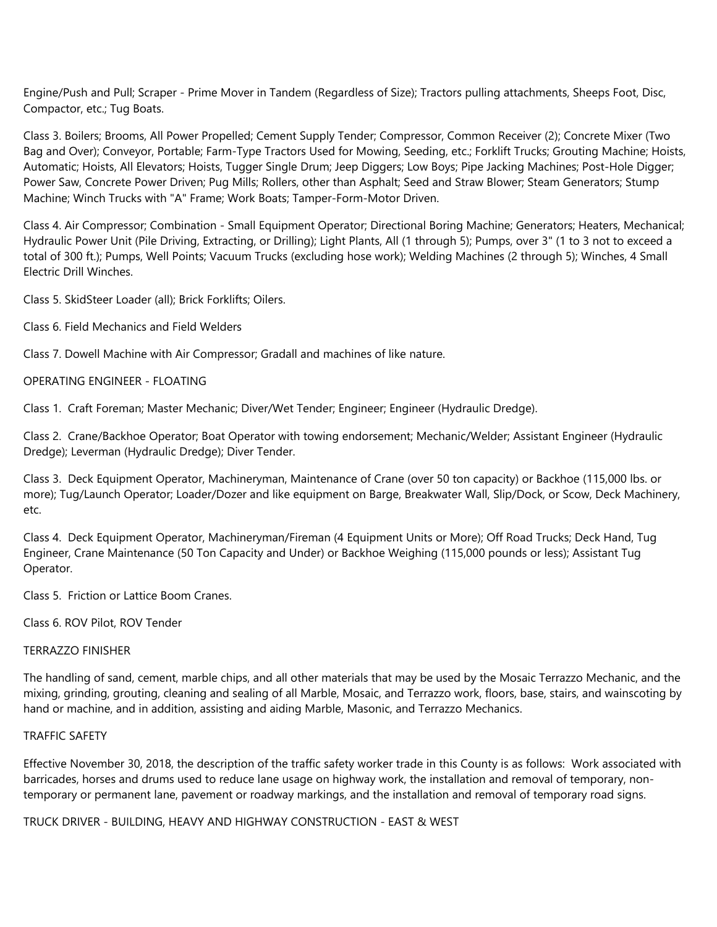Engine/Push and Pull; Scraper - Prime Mover in Tandem (Regardless of Size); Tractors pulling attachments, Sheeps Foot, Disc, Compactor, etc.; Tug Boats.

Class 3. Boilers; Brooms, All Power Propelled; Cement Supply Tender; Compressor, Common Receiver (2); Concrete Mixer (Two Bag and Over); Conveyor, Portable; Farm-Type Tractors Used for Mowing, Seeding, etc.; Forklift Trucks; Grouting Machine; Hoists, Automatic; Hoists, All Elevators; Hoists, Tugger Single Drum; Jeep Diggers; Low Boys; Pipe Jacking Machines; Post-Hole Digger; Power Saw, Concrete Power Driven; Pug Mills; Rollers, other than Asphalt; Seed and Straw Blower; Steam Generators; Stump Machine; Winch Trucks with "A" Frame; Work Boats; Tamper-Form-Motor Driven.

Class 4. Air Compressor; Combination - Small Equipment Operator; Directional Boring Machine; Generators; Heaters, Mechanical; Hydraulic Power Unit (Pile Driving, Extracting, or Drilling); Light Plants, All (1 through 5); Pumps, over 3" (1 to 3 not to exceed a total of 300 ft.); Pumps, Well Points; Vacuum Trucks (excluding hose work); Welding Machines (2 through 5); Winches, 4 Small Electric Drill Winches.

Class 5. SkidSteer Loader (all); Brick Forklifts; Oilers.

Class 6. Field Mechanics and Field Welders

Class 7. Dowell Machine with Air Compressor; Gradall and machines of like nature.

OPERATING ENGINEER - FLOATING

Class 1. Craft Foreman; Master Mechanic; Diver/Wet Tender; Engineer; Engineer (Hydraulic Dredge).

Class 2. Crane/Backhoe Operator; Boat Operator with towing endorsement; Mechanic/Welder; Assistant Engineer (Hydraulic Dredge); Leverman (Hydraulic Dredge); Diver Tender.

Class 3. Deck Equipment Operator, Machineryman, Maintenance of Crane (over 50 ton capacity) or Backhoe (115,000 lbs. or more); Tug/Launch Operator; Loader/Dozer and like equipment on Barge, Breakwater Wall, Slip/Dock, or Scow, Deck Machinery, etc.

Class 4. Deck Equipment Operator, Machineryman/Fireman (4 Equipment Units or More); Off Road Trucks; Deck Hand, Tug Engineer, Crane Maintenance (50 Ton Capacity and Under) or Backhoe Weighing (115,000 pounds or less); Assistant Tug Operator.

Class 5. Friction or Lattice Boom Cranes.

Class 6. ROV Pilot, ROV Tender

## TERRAZZO FINISHER

The handling of sand, cement, marble chips, and all other materials that may be used by the Mosaic Terrazzo Mechanic, and the mixing, grinding, grouting, cleaning and sealing of all Marble, Mosaic, and Terrazzo work, floors, base, stairs, and wainscoting by hand or machine, and in addition, assisting and aiding Marble, Masonic, and Terrazzo Mechanics.

## TRAFFIC SAFETY

Effective November 30, 2018, the description of the traffic safety worker trade in this County is as follows: Work associated with barricades, horses and drums used to reduce lane usage on highway work, the installation and removal of temporary, nontemporary or permanent lane, pavement or roadway markings, and the installation and removal of temporary road signs.

TRUCK DRIVER - BUILDING, HEAVY AND HIGHWAY CONSTRUCTION - EAST & WEST